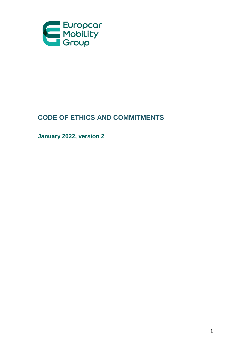

# **CODE OF ETHICS AND COMMITMENTS**

**January 2022, version 2**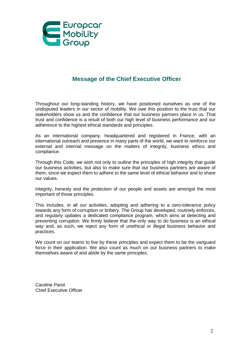

# **Message of the Chief Executive Officer**

Throughout our long-standing history, we have positioned ourselves as one of the undisputed leaders in our sector of mobility. We owe this position to the trust that our stakeholders show us and the confidence that our business partners place in us. That trust and confidence is a result of both our high level of business performance and our adherence to the highest ethical standards and principles.

As an international company, headquartered and registered in France, with an international outreach and presence in many parts of the world, we want to reinforce our external and internal message on the matters of integrity, business ethics and compliance.

Through this Code, we wish not only to outline the principles of high integrity that guide our business activities, but also to make sure that our business partners are aware of them, since we expect them to adhere to the same level of ethical behavior and to share our values.

Integrity, honesty and the protection of our people and assets are amongst the most important of those principles.

This includes, in all our activities, adopting and adhering to a zero-tolerance policy towards any form of corruption or bribery. The Group has developed, routinely enforces, and regularly updates a dedicated compliance program, which aims at detecting and preventing corruption. We firmly believe that the only way to do business is an ethical way and, as such, we reject any form of unethical or illegal business behavior and practices.

We count on our teams to live by these principles and expect them to be the vanguard force in their application. We also count as much on our business partners to make themselves aware of and abide by the same principles.

Caroline Parot Chief Executive Officer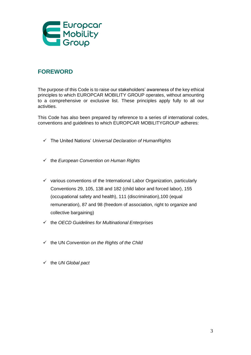

# **FOREWORD**

The purpose of this Code is to raise our stakeholders' awareness of the key ethical principles to which EUROPCAR MOBILITY GROUP operates, without amounting to a comprehensive or exclusive list. These principles apply fully to all our activities.

This Code has also been prepared by reference to a series of international codes, conventions and guidelines to which EUROPCAR MOBILITYGROUP adheres:

- The United Nations' *Universal Declaration of HumanRights*
- the *European Convention on Human Rights*
- $\checkmark$  various conventions of the International Labor Organization, particularly Conventions 29, 105, 138 and 182 (child labor and forced labor), 155 (occupational safety and health), 111 (discrimination),100 (equal remuneration), 87 and 98 (freedom of association, right to organize and collective bargaining)
- the *OECD Guidelines for Multinational Enterprises*
- the UN *Convention on the Rights of the Child*
- the *UN Global pact*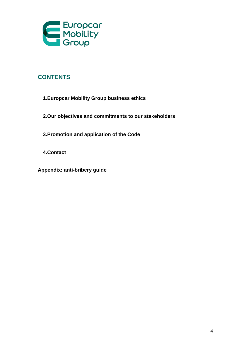

# **CONTENTS**

- **1.Europcar Mobility Group business ethics**
- **2.Our objectives and commitments to our stakeholders**
- **3.Promotion and application of the Code**
- **4.Contact**
- **Appendix: anti-bribery guide**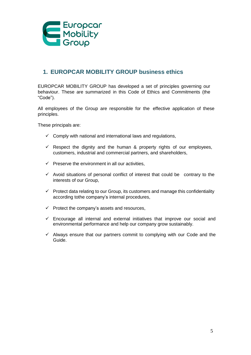

# **1. EUROPCAR MOBILITY GROUP business ethics**

EUROPCAR MOBILITY GROUP has developed a set of principles governing our behaviour. These are summarized in this Code of Ethics and Commitments (the "Code").

All employees of the Group are responsible for the effective application of these principles.

These principals are:

- $\checkmark$  Comply with national and international laws and regulations,
- $\checkmark$  Respect the dignity and the human & property rights of our employees, customers, industrial and commercial partners, and shareholders,
- $\checkmark$  Preserve the environment in all our activities,
- $\checkmark$  Avoid situations of personal conflict of interest that could be contrary to the interests of our Group,
- $\checkmark$  Protect data relating to our Group, its customers and manage this confidentiality according tothe company's internal procedures,
- $\checkmark$  Protect the company's assets and resources,
- $\checkmark$  Encourage all internal and external initiatives that improve our social and environmental performance and help our company grow sustainably.
- $\checkmark$  Always ensure that our partners commit to complying with our Code and the Guide.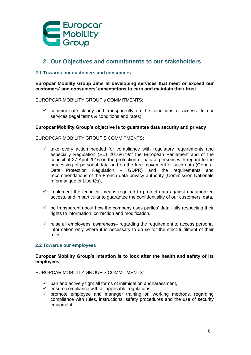

# **2. Our Objectives and commitments to our stakeholders**

# **2.1 Towards our customers and consumers**

**Europcar Mobility Group aims at developing services that meet or exceed our customers' and consumers' expectations to earn and maintain their trust.**

# EUROPCAR MOBILITY GROUP's COMMITMENTS:

 $\checkmark$  communicate clearly and transparently on the conditions of access to our services (legal terms & conditions and rates)

# **Europcar Mobility Group's objective is to guarantee data security and privacy**

# EUROPCAR MOBILITY GROUP'S COMMITMENTS:

- $\checkmark$  take every action needed for compliance with regulatory requirements and especially Regulation (EU) 2016/679of the European Parliament and of the council of 27 April 2016 on the protection of natural persons with regard to the processing of personal data and on the free movement of such data (General Data Protection Regulation – GDPR) and the requirements and recommendations of the French data privacy authority (Commission Nationale Informatique et Libertés),
- $\checkmark$  implement the technical means required to protect data against unauthorized access, and in particular to guarantee the confidentiality of our customers' data,
- $\checkmark$  be transparent about how the company uses parties' data, fully respecting their rights to information, correction and modification,
- $\checkmark$  raise all employees' awareness– regarding the requirement to access personal information only where it is necessary to do so for the strict fulfilment of their roles.

### **2.2 Towards our employees**

### **Europcar Mobility Group's intention is to look after the health and safety of its employees**

- $\checkmark$  ban and actively fight all forms of intimidation andharassment,
- $\checkmark$  ensure compliance with all applicable regulations,
- $\checkmark$  promote employee and manager training on working methods, regarding compliance with rules, instructions, safety procedures and the use of security equipment.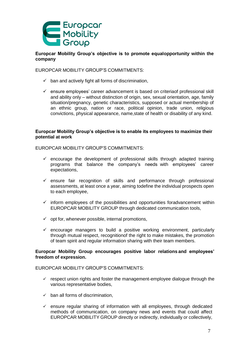

# **Europcar Mobility Group's objective is to promote equalopportunity within the company**

# EUROPCAR MOBILITY GROUP'S COMMITMENTS:

- $\checkmark$  ban and actively fight all forms of discrimination,
- $\checkmark$  ensure employees' career advancement is based on criteriaof professional skill and ability only – without distinction of origin, sex, sexual orientation, age, family situation/pregnancy, genetic characteristics, supposed or actual membership of an ethnic group, nation or race, political opinion, trade union, religious convictions, physical appearance, name,state of health or disability of any kind.

# **Europcar Mobility Group's objective is to enable its employees to maximize their potential at work**

EUROPCAR MOBILITY GROUP'S COMMITMENTS:

- $\checkmark$  encourage the development of professional skills through adapted training programs that balance the company's needs with employees' career expectations,
- $\checkmark$  ensure fair recognition of skills and performance through professional assessments, at least once a year, aiming todefine the individual prospects open to each employee,
- $\checkmark$  inform employees of the possibilities and opportunities foradvancement within EUROPCAR MOBILITY GROUP through dedicated communication tools,
- $\checkmark$  opt for, whenever possible, internal promotions,
- $\checkmark$  encourage managers to build a positive working environment, particularly through mutual respect, recognitionof the right to make mistakes, the promotion of team spirit and regular information sharing with their team members.

# **Europcar Mobility Group encourages positive labor relations and employees' freedom of expression.**

- $\checkmark$  respect union rights and foster the management-employee dialogue through the various representative bodies,
- $\checkmark$  ban all forms of discrimination,
- $\checkmark$  ensure regular sharing of information with all employees, through dedicated methods of communication, on company news and events that could affect EUROPCAR MOBILITY GROUP directly or indirectly, individually or collectively,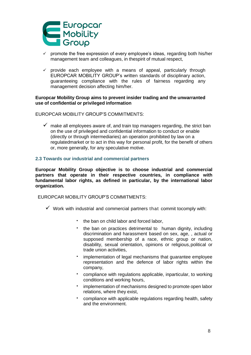

- $\checkmark$  promote the free expression of every employee's ideas, regarding both his/her management team and colleagues, in thespirit of mutual respect,
- $\checkmark$  provide each employee with a means of appeal, particularly through EUROPCAR MOBILITY GROUP's written standards of disciplinary action, guaranteeing compliance with the rules of fairness regarding any management decision affecting him/her.

**Europcar Mobility Group aims to prevent insider trading and the unwarranted use of confidential or privileged information**

EUROPCAR MOBILITY GROUP'S COMMITMENTS:

 $\checkmark$  make all employees aware of, and train top managers regarding, the strict ban on the use of privileged and confidential information to conduct or enable (directly or through intermediaries) an operation prohibited by law on a regulatedmarket or to act in this way for personal profit, for the benefit of others or, more generally, for any speculative motive.

# **2.3 Towards our industrial and commercial partners**

**Europcar Mobility Group objective is to choose industrial and commercial partners that operate in their respective countries, in compliance with fundamental labor rights, as defined in particular, by the international labor organization.**

- $\checkmark$  Work with industrial and commercial partners that commit tocomply with:
	- the ban on child labor and forced labor,
	- the ban on practices detrimental to human dignity, including discrimination and harassment based on sex, age, , actual or supposed membership of a race, ethnic group or nation, disability, sexual orientation, opinions or religious,political or trade union activities,
	- implementation of legal mechanisms that guarantee employee representation and the defence of labor rights within the company,
	- compliance with regulations applicable, inparticular, to working conditions and working hours,
	- implementation of mechanisms designed to promote open labor relations, where they exist,
	- compliance with applicable regulations regarding health, safety and the environment.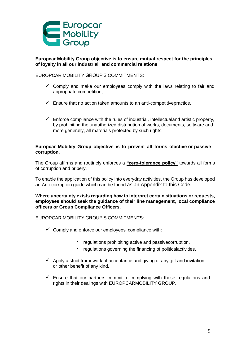

**Europcar Mobility Group objective is to ensure mutual respect for the principles of loyalty in all our industrial and commercial relations**

EUROPCAR MOBILITY GROUP'S COMMITMENTS:

- $\checkmark$  Comply and make our employees comply with the laws relating to fair and appropriate competition,
- $\checkmark$  Ensure that no action taken amounts to an anti-competitivepractice,
- $\checkmark$  Enforce compliance with the rules of industrial, intellectualand artistic property, by prohibiting the unauthorized distribution of works, documents, software and, more generally, all materials protected by such rights.

# **Europcar Mobility Group objective is to prevent all forms ofactive or passive corruption.**

The Group affirms and routinely enforces a **"zero-tolerance policy"** towards all forms of corruption and bribery.

To enable the application of this policy into everyday activities, the Group has developed an Anti-corruption guide which can be found as an Appendix to this Code.

**Where uncertainty exists regarding how to interpret certain situations or requests, employees should seek the guidance of their line management, local compliance officers or Group Compliance Officers.**

- $\checkmark$  Comply and enforce our employees' compliance with:
	- regulations prohibiting active and passivecorruption,
	- regulations governing the financing of politicalactivities.
- $\checkmark$  Apply a strict framework of acceptance and giving of any gift and invitation, or other benefit of any kind.
- $\checkmark$  Ensure that our partners commit to complying with these regulations and rights in their dealings with EUROPCARMOBILITY GROUP.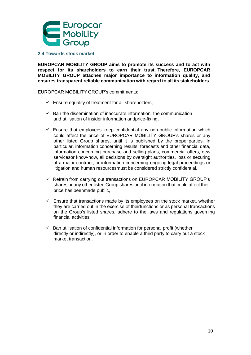

### **2.4 Towards stock market**

**EUROPCAR MOBILITY GROUP aims to promote its success and to act with respect for its shareholders to earn their trust**. **Therefore, EUROPCAR MOBILITY GROUP attaches major importance to information quality, and ensures transparent reliable communication with regard to all its stakeholders.**

EUROPCAR MOBILITY GROUP's commitments:

- $\checkmark$  Ensure equality of treatment for all shareholders,
- $\checkmark$  Ban the dissemination of inaccurate information, the communication and utilisation of insider information andprice-fixing,
- $\checkmark$  Ensure that employees keep confidential any non-public information which could affect the price of EUROPCAR MOBILITY GROUP's shares or any other listed Group shares, until it is published by the proper parties. In particular, information concerning results, forecasts and other financial data, information concerning purchase and selling plans, commercial offers, new servicesor know-how, all decisions by oversight authorities, loss or securing of a major contract, or information concerning ongoing legal proceedings or litigation and human resourcesmust be considered strictly confidential,
- $\checkmark$  Refrain from carrying out transactions on EUROPCAR MOBILITY GROUP's shares or any other listed Group shares until information that could affect their price has beenmade public,
- $\checkmark$  Ensure that transactions made by its employees on the stock market, whether they are carried out in the exercise of theirfunctions or as personal transactions on the Group's listed shares, adhere to the laws and regulations governing financial activities,
- $\checkmark$  Ban utilisation of confidential information for personal profit (whether directly or indirectly), or in order to enable a third party to carry out a stock market transaction.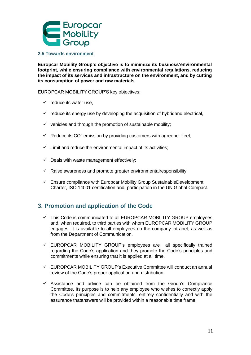

# **2.5 Towards environment**

**Europcar Mobility Group's objective is to minimize its business'environmental footprint, while ensuring compliance with environmental regulations, reducing the impact of its services and infrastructure on the environment, and by cutting its consumption of power and raw materials.**

EUROPCAR MOBILITY GROUP'S key objectives:

- $\checkmark$  reduce its water use,
- $\checkmark$  reduce its energy use by developing the acquisition of hybridand electrical,
- $\checkmark$  vehicles and through the promotion of sustainable mobility;
- $\checkmark$  Reduce its CO<sup>2</sup> emission by providing customers with agreener fleet;
- $\checkmark$  Limit and reduce the environmental impact of its activities;
- $\checkmark$  Deals with waste management effectively;
- $\checkmark$  Raise awareness and promote greater environmentalresponsibility;
- $\checkmark$  Ensure compliance with Europcar Mobility Group SustainableDevelopment Charter, ISO 14001 certification and, participation in the UN Global Compact.

# **3. Promotion and application of the Code**

- $\checkmark$  This Code is communicated to all EUROPCAR MOBILITY GROUP employees and, when required, to third parties with whom EUROPCAR MOBILITY GROUP engages. It is available to all employees on the company intranet, as well as from the Department of Communication.
- $\checkmark$  EUROPCAR MOBILITY GROUP's employees are all specifically trained regarding the Code's application and they promote the Code's principles and commitments while ensuring that it is applied at all time.
- $\checkmark$  EUROPCAR MOBILITY GROUP's Executive Committee will conduct an annual review of the Code's proper application and distribution.
- $\checkmark$  Assistance and advice can be obtained from the Group's Compliance Committee. Its purpose is to help any employee who wishes to correctly apply the Code's principles and commitments, entirely confidentially and with the assurance thatanswers will be provided within a reasonable time frame.